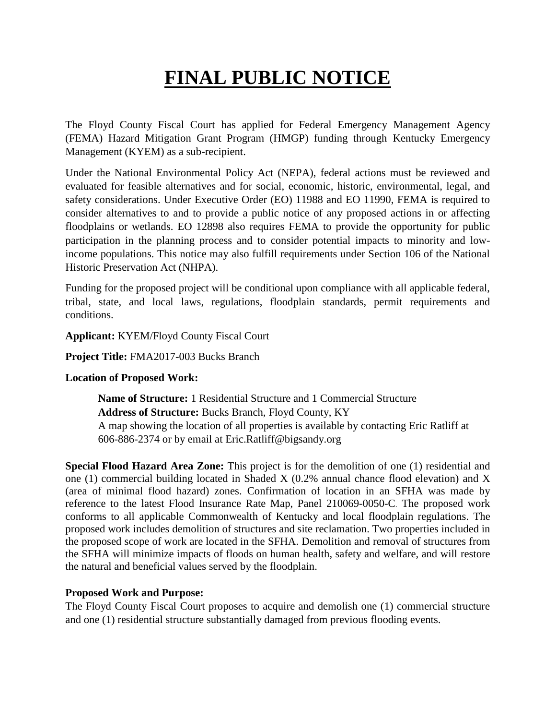# **FINAL PUBLIC NOTICE**

The Floyd County Fiscal Court has applied for Federal Emergency Management Agency (FEMA) Hazard Mitigation Grant Program (HMGP) funding through Kentucky Emergency Management (KYEM) as a sub-recipient.

Under the National Environmental Policy Act (NEPA), federal actions must be reviewed and evaluated for feasible alternatives and for social, economic, historic, environmental, legal, and safety considerations. Under Executive Order (EO) 11988 and EO 11990, FEMA is required to consider alternatives to and to provide a public notice of any proposed actions in or affecting floodplains or wetlands. EO 12898 also requires FEMA to provide the opportunity for public participation in the planning process and to consider potential impacts to minority and lowincome populations. This notice may also fulfill requirements under Section 106 of the National Historic Preservation Act (NHPA).

Funding for the proposed project will be conditional upon compliance with all applicable federal, tribal, state, and local laws, regulations, floodplain standards, permit requirements and conditions.

**Applicant:** KYEM/Floyd County Fiscal Court

**Project Title:** FMA2017-003 Bucks Branch

#### **Location of Proposed Work:**

**Name of Structure:** 1 Residential Structure and 1 Commercial Structure **Address of Structure:** Bucks Branch, Floyd County, KY A map showing the location of all properties is available by contacting Eric Ratliff at 606-886-2374 or by email at Eric.Ratliff@bigsandy.org

**Special Flood Hazard Area Zone:** This project is for the demolition of one (1) residential and one (1) commercial building located in Shaded X (0.2% annual chance flood elevation) and X (area of minimal flood hazard) zones. Confirmation of location in an SFHA was made by reference to the latest Flood Insurance Rate Map, Panel 210069-0050-C. The proposed work conforms to all applicable Commonwealth of Kentucky and local floodplain regulations. The proposed work includes demolition of structures and site reclamation. Two properties included in the proposed scope of work are located in the SFHA. Demolition and removal of structures from the SFHA will minimize impacts of floods on human health, safety and welfare, and will restore the natural and beneficial values served by the floodplain.

#### **Proposed Work and Purpose:**

The Floyd County Fiscal Court proposes to acquire and demolish one (1) commercial structure and one (1) residential structure substantially damaged from previous flooding events.